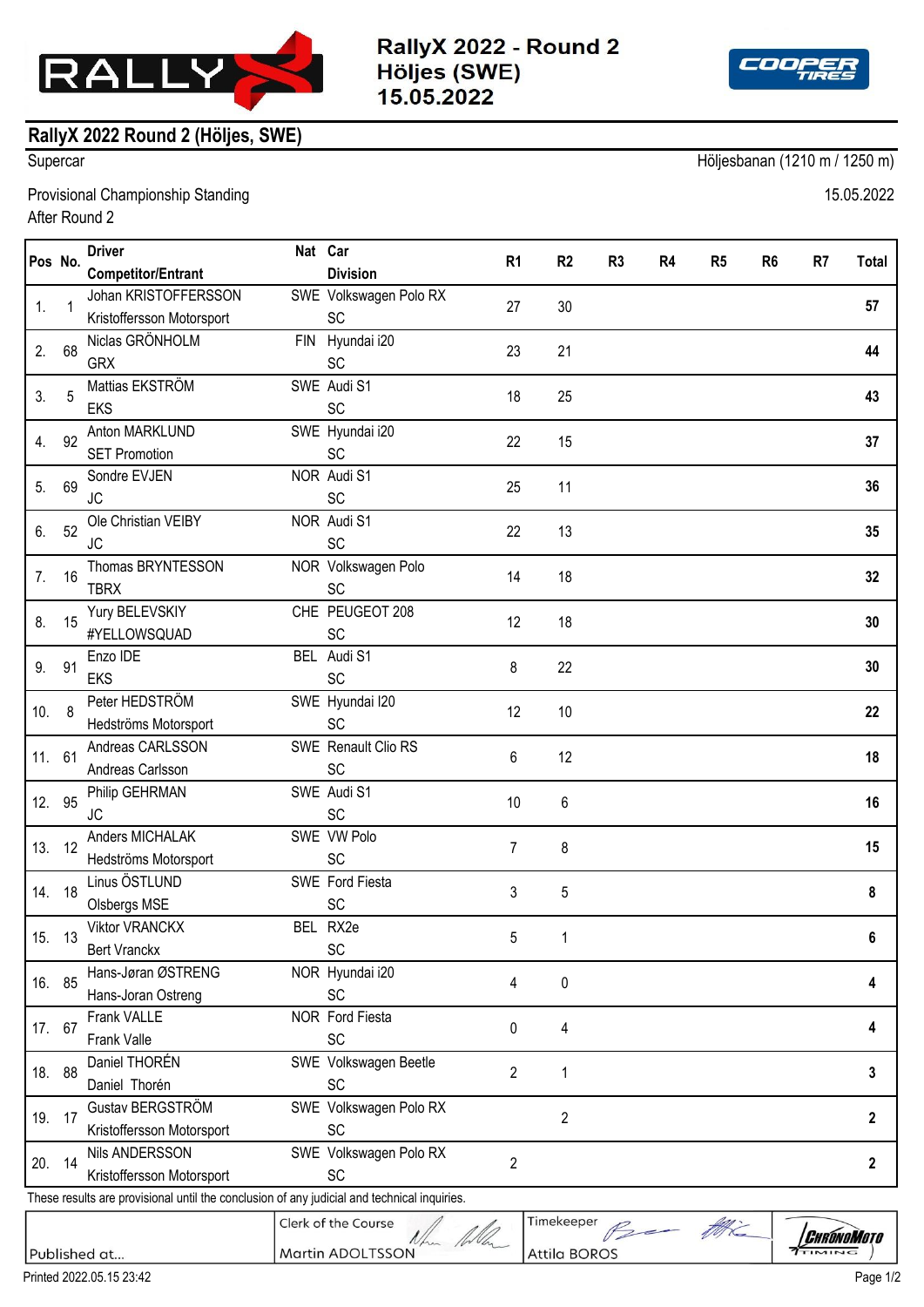

RallyX 2022 - Round 2 Höljes (SWE) 15.05.2022



## **RallyX 2022 Round 2 (Höljes, SWE)**

Supercar Höljesbanan (1210 m / 1250 m)

Provisional Championship Standing 15.05.2022 After Round 2

| R <sub>4</sub><br><b>Division</b><br><b>Competitor/Entrant</b><br>Johan KRISTOFFERSSON<br>SWE Volkswagen Polo RX<br>27<br>57<br>1.<br>$\mathbf 1$<br>30<br>Kristoffersson Motorsport<br>SC<br>Niclas GRÖNHOLM<br>FIN Hyundai i20<br>23<br>21<br>44<br>2.<br>68<br><b>GRX</b><br>SC<br>Mattias EKSTRÖM<br>SWE Audi S1<br>3.<br>5<br>25<br>18<br>43<br>SC<br><b>EKS</b><br>Anton MARKLUND<br>SWE Hyundai i20<br>37<br>92<br>22<br>15<br>4.<br><b>SET Promotion</b><br><b>SC</b><br>NOR Audi S1<br>Sondre EVJEN<br>69<br>11<br>5.<br>25<br>36<br>SC<br><b>JC</b><br>NOR Audi S1<br>Ole Christian VEIBY<br>52<br>22<br>13<br>35<br>6.<br><b>SC</b><br><b>JC</b><br>Thomas BRYNTESSON<br>NOR Volkswagen Polo<br>7.<br>14<br>18<br>16<br>32<br>SC<br><b>TBRX</b><br>CHE PEUGEOT 208<br>Yury BELEVSKIY<br>12<br>18<br>30<br>8.<br>15<br>#YELLOWSQUAD<br>SC<br>BEL Audi S1<br>Enzo IDE<br>91<br>8<br>22<br>9.<br>30<br>SC<br><b>EKS</b><br>Peter HEDSTRÖM<br>SWE Hyundai I20<br>22<br>10.<br>8<br>12<br>10<br>SC<br>Hedströms Motorsport<br>SWE Renault Clio RS<br>Andreas CARLSSON<br>12<br>11. 61<br>6<br>18<br>SC<br>Andreas Carlsson<br>SWE Audi S1<br>Philip GEHRMAN<br>12. 95<br>10<br>6<br>16<br>SC<br>JС<br>SWE VW Polo<br>Anders MICHALAK<br>13.<br>12<br>$\overline{7}$<br>8<br>15<br>Hedströms Motorsport<br>SC<br>Linus ÖSTLUND<br>SWE Ford Fiesta<br>14. 18<br>3<br>5<br>8<br>SC<br>Olsbergs MSE<br><b>Viktor VRANCKX</b><br>BEL RX2e<br>15. 13<br>5<br>6<br>SC<br><b>Bert Vranckx</b><br>Hans-Jøran ØSTRENG<br>NOR Hyundai i20<br>0<br>16. 85<br>4<br>4<br><b>SC</b><br>Hans-Joran Ostreng<br>Frank VALLE<br>NOR Ford Fiesta<br>17. 67<br>4<br>0<br>4<br><b>SC</b><br>Frank Valle<br>Daniel THORÉN<br>SWE Volkswagen Beetle<br>$\overline{2}$<br>18. 88<br>3<br>1<br>SC<br>Daniel Thorén<br>Gustav BERGSTRÖM<br>SWE Volkswagen Polo RX<br>$\overline{2}$<br>2<br>19. 17<br>Kristoffersson Motorsport<br><b>SC</b><br>Nils ANDERSSON<br>SWE Volkswagen Polo RX<br>$\overline{2}$<br>20. 14<br>$\overline{2}$<br>Kristoffersson Motorsport<br>SC<br>Timekeeper<br>Clerk of the Course<br>Be the | Pos No.                                                                                     |  | <b>Driver</b> |  | Nat Car | R <sub>1</sub> | R <sub>2</sub> | R <sub>3</sub> | R <sub>5</sub> | R <sub>6</sub><br>R <sub>7</sub> | <b>Total</b> |
|-----------------------------------------------------------------------------------------------------------------------------------------------------------------------------------------------------------------------------------------------------------------------------------------------------------------------------------------------------------------------------------------------------------------------------------------------------------------------------------------------------------------------------------------------------------------------------------------------------------------------------------------------------------------------------------------------------------------------------------------------------------------------------------------------------------------------------------------------------------------------------------------------------------------------------------------------------------------------------------------------------------------------------------------------------------------------------------------------------------------------------------------------------------------------------------------------------------------------------------------------------------------------------------------------------------------------------------------------------------------------------------------------------------------------------------------------------------------------------------------------------------------------------------------------------------------------------------------------------------------------------------------------------------------------------------------------------------------------------------------------------------------------------------------------------------------------------------------------------------------------------------------------------------------------------------------------------------------------------------------------------------------------------------------------------------------------------------------------------|---------------------------------------------------------------------------------------------|--|---------------|--|---------|----------------|----------------|----------------|----------------|----------------------------------|--------------|
|                                                                                                                                                                                                                                                                                                                                                                                                                                                                                                                                                                                                                                                                                                                                                                                                                                                                                                                                                                                                                                                                                                                                                                                                                                                                                                                                                                                                                                                                                                                                                                                                                                                                                                                                                                                                                                                                                                                                                                                                                                                                                                     |                                                                                             |  |               |  |         |                |                |                |                |                                  |              |
|                                                                                                                                                                                                                                                                                                                                                                                                                                                                                                                                                                                                                                                                                                                                                                                                                                                                                                                                                                                                                                                                                                                                                                                                                                                                                                                                                                                                                                                                                                                                                                                                                                                                                                                                                                                                                                                                                                                                                                                                                                                                                                     |                                                                                             |  |               |  |         |                |                |                |                |                                  |              |
|                                                                                                                                                                                                                                                                                                                                                                                                                                                                                                                                                                                                                                                                                                                                                                                                                                                                                                                                                                                                                                                                                                                                                                                                                                                                                                                                                                                                                                                                                                                                                                                                                                                                                                                                                                                                                                                                                                                                                                                                                                                                                                     |                                                                                             |  |               |  |         |                |                |                |                |                                  |              |
|                                                                                                                                                                                                                                                                                                                                                                                                                                                                                                                                                                                                                                                                                                                                                                                                                                                                                                                                                                                                                                                                                                                                                                                                                                                                                                                                                                                                                                                                                                                                                                                                                                                                                                                                                                                                                                                                                                                                                                                                                                                                                                     |                                                                                             |  |               |  |         |                |                |                |                |                                  |              |
|                                                                                                                                                                                                                                                                                                                                                                                                                                                                                                                                                                                                                                                                                                                                                                                                                                                                                                                                                                                                                                                                                                                                                                                                                                                                                                                                                                                                                                                                                                                                                                                                                                                                                                                                                                                                                                                                                                                                                                                                                                                                                                     |                                                                                             |  |               |  |         |                |                |                |                |                                  |              |
|                                                                                                                                                                                                                                                                                                                                                                                                                                                                                                                                                                                                                                                                                                                                                                                                                                                                                                                                                                                                                                                                                                                                                                                                                                                                                                                                                                                                                                                                                                                                                                                                                                                                                                                                                                                                                                                                                                                                                                                                                                                                                                     |                                                                                             |  |               |  |         |                |                |                |                |                                  |              |
|                                                                                                                                                                                                                                                                                                                                                                                                                                                                                                                                                                                                                                                                                                                                                                                                                                                                                                                                                                                                                                                                                                                                                                                                                                                                                                                                                                                                                                                                                                                                                                                                                                                                                                                                                                                                                                                                                                                                                                                                                                                                                                     |                                                                                             |  |               |  |         |                |                |                |                |                                  |              |
|                                                                                                                                                                                                                                                                                                                                                                                                                                                                                                                                                                                                                                                                                                                                                                                                                                                                                                                                                                                                                                                                                                                                                                                                                                                                                                                                                                                                                                                                                                                                                                                                                                                                                                                                                                                                                                                                                                                                                                                                                                                                                                     |                                                                                             |  |               |  |         |                |                |                |                |                                  |              |
|                                                                                                                                                                                                                                                                                                                                                                                                                                                                                                                                                                                                                                                                                                                                                                                                                                                                                                                                                                                                                                                                                                                                                                                                                                                                                                                                                                                                                                                                                                                                                                                                                                                                                                                                                                                                                                                                                                                                                                                                                                                                                                     |                                                                                             |  |               |  |         |                |                |                |                |                                  |              |
|                                                                                                                                                                                                                                                                                                                                                                                                                                                                                                                                                                                                                                                                                                                                                                                                                                                                                                                                                                                                                                                                                                                                                                                                                                                                                                                                                                                                                                                                                                                                                                                                                                                                                                                                                                                                                                                                                                                                                                                                                                                                                                     |                                                                                             |  |               |  |         |                |                |                |                |                                  |              |
|                                                                                                                                                                                                                                                                                                                                                                                                                                                                                                                                                                                                                                                                                                                                                                                                                                                                                                                                                                                                                                                                                                                                                                                                                                                                                                                                                                                                                                                                                                                                                                                                                                                                                                                                                                                                                                                                                                                                                                                                                                                                                                     |                                                                                             |  |               |  |         |                |                |                |                |                                  |              |
|                                                                                                                                                                                                                                                                                                                                                                                                                                                                                                                                                                                                                                                                                                                                                                                                                                                                                                                                                                                                                                                                                                                                                                                                                                                                                                                                                                                                                                                                                                                                                                                                                                                                                                                                                                                                                                                                                                                                                                                                                                                                                                     |                                                                                             |  |               |  |         |                |                |                |                |                                  |              |
|                                                                                                                                                                                                                                                                                                                                                                                                                                                                                                                                                                                                                                                                                                                                                                                                                                                                                                                                                                                                                                                                                                                                                                                                                                                                                                                                                                                                                                                                                                                                                                                                                                                                                                                                                                                                                                                                                                                                                                                                                                                                                                     |                                                                                             |  |               |  |         |                |                |                |                |                                  |              |
|                                                                                                                                                                                                                                                                                                                                                                                                                                                                                                                                                                                                                                                                                                                                                                                                                                                                                                                                                                                                                                                                                                                                                                                                                                                                                                                                                                                                                                                                                                                                                                                                                                                                                                                                                                                                                                                                                                                                                                                                                                                                                                     |                                                                                             |  |               |  |         |                |                |                |                |                                  |              |
|                                                                                                                                                                                                                                                                                                                                                                                                                                                                                                                                                                                                                                                                                                                                                                                                                                                                                                                                                                                                                                                                                                                                                                                                                                                                                                                                                                                                                                                                                                                                                                                                                                                                                                                                                                                                                                                                                                                                                                                                                                                                                                     |                                                                                             |  |               |  |         |                |                |                |                |                                  |              |
|                                                                                                                                                                                                                                                                                                                                                                                                                                                                                                                                                                                                                                                                                                                                                                                                                                                                                                                                                                                                                                                                                                                                                                                                                                                                                                                                                                                                                                                                                                                                                                                                                                                                                                                                                                                                                                                                                                                                                                                                                                                                                                     |                                                                                             |  |               |  |         |                |                |                |                |                                  |              |
|                                                                                                                                                                                                                                                                                                                                                                                                                                                                                                                                                                                                                                                                                                                                                                                                                                                                                                                                                                                                                                                                                                                                                                                                                                                                                                                                                                                                                                                                                                                                                                                                                                                                                                                                                                                                                                                                                                                                                                                                                                                                                                     |                                                                                             |  |               |  |         |                |                |                |                |                                  |              |
|                                                                                                                                                                                                                                                                                                                                                                                                                                                                                                                                                                                                                                                                                                                                                                                                                                                                                                                                                                                                                                                                                                                                                                                                                                                                                                                                                                                                                                                                                                                                                                                                                                                                                                                                                                                                                                                                                                                                                                                                                                                                                                     |                                                                                             |  |               |  |         |                |                |                |                |                                  |              |
|                                                                                                                                                                                                                                                                                                                                                                                                                                                                                                                                                                                                                                                                                                                                                                                                                                                                                                                                                                                                                                                                                                                                                                                                                                                                                                                                                                                                                                                                                                                                                                                                                                                                                                                                                                                                                                                                                                                                                                                                                                                                                                     |                                                                                             |  |               |  |         |                |                |                |                |                                  |              |
|                                                                                                                                                                                                                                                                                                                                                                                                                                                                                                                                                                                                                                                                                                                                                                                                                                                                                                                                                                                                                                                                                                                                                                                                                                                                                                                                                                                                                                                                                                                                                                                                                                                                                                                                                                                                                                                                                                                                                                                                                                                                                                     |                                                                                             |  |               |  |         |                |                |                |                |                                  |              |
|                                                                                                                                                                                                                                                                                                                                                                                                                                                                                                                                                                                                                                                                                                                                                                                                                                                                                                                                                                                                                                                                                                                                                                                                                                                                                                                                                                                                                                                                                                                                                                                                                                                                                                                                                                                                                                                                                                                                                                                                                                                                                                     |                                                                                             |  |               |  |         |                |                |                |                |                                  |              |
|                                                                                                                                                                                                                                                                                                                                                                                                                                                                                                                                                                                                                                                                                                                                                                                                                                                                                                                                                                                                                                                                                                                                                                                                                                                                                                                                                                                                                                                                                                                                                                                                                                                                                                                                                                                                                                                                                                                                                                                                                                                                                                     |                                                                                             |  |               |  |         |                |                |                |                |                                  |              |
|                                                                                                                                                                                                                                                                                                                                                                                                                                                                                                                                                                                                                                                                                                                                                                                                                                                                                                                                                                                                                                                                                                                                                                                                                                                                                                                                                                                                                                                                                                                                                                                                                                                                                                                                                                                                                                                                                                                                                                                                                                                                                                     |                                                                                             |  |               |  |         |                |                |                |                |                                  |              |
|                                                                                                                                                                                                                                                                                                                                                                                                                                                                                                                                                                                                                                                                                                                                                                                                                                                                                                                                                                                                                                                                                                                                                                                                                                                                                                                                                                                                                                                                                                                                                                                                                                                                                                                                                                                                                                                                                                                                                                                                                                                                                                     |                                                                                             |  |               |  |         |                |                |                |                |                                  |              |
|                                                                                                                                                                                                                                                                                                                                                                                                                                                                                                                                                                                                                                                                                                                                                                                                                                                                                                                                                                                                                                                                                                                                                                                                                                                                                                                                                                                                                                                                                                                                                                                                                                                                                                                                                                                                                                                                                                                                                                                                                                                                                                     |                                                                                             |  |               |  |         |                |                |                |                |                                  |              |
|                                                                                                                                                                                                                                                                                                                                                                                                                                                                                                                                                                                                                                                                                                                                                                                                                                                                                                                                                                                                                                                                                                                                                                                                                                                                                                                                                                                                                                                                                                                                                                                                                                                                                                                                                                                                                                                                                                                                                                                                                                                                                                     |                                                                                             |  |               |  |         |                |                |                |                |                                  |              |
|                                                                                                                                                                                                                                                                                                                                                                                                                                                                                                                                                                                                                                                                                                                                                                                                                                                                                                                                                                                                                                                                                                                                                                                                                                                                                                                                                                                                                                                                                                                                                                                                                                                                                                                                                                                                                                                                                                                                                                                                                                                                                                     |                                                                                             |  |               |  |         |                |                |                |                |                                  |              |
|                                                                                                                                                                                                                                                                                                                                                                                                                                                                                                                                                                                                                                                                                                                                                                                                                                                                                                                                                                                                                                                                                                                                                                                                                                                                                                                                                                                                                                                                                                                                                                                                                                                                                                                                                                                                                                                                                                                                                                                                                                                                                                     |                                                                                             |  |               |  |         |                |                |                |                |                                  |              |
|                                                                                                                                                                                                                                                                                                                                                                                                                                                                                                                                                                                                                                                                                                                                                                                                                                                                                                                                                                                                                                                                                                                                                                                                                                                                                                                                                                                                                                                                                                                                                                                                                                                                                                                                                                                                                                                                                                                                                                                                                                                                                                     |                                                                                             |  |               |  |         |                |                |                |                |                                  |              |
|                                                                                                                                                                                                                                                                                                                                                                                                                                                                                                                                                                                                                                                                                                                                                                                                                                                                                                                                                                                                                                                                                                                                                                                                                                                                                                                                                                                                                                                                                                                                                                                                                                                                                                                                                                                                                                                                                                                                                                                                                                                                                                     |                                                                                             |  |               |  |         |                |                |                |                |                                  |              |
|                                                                                                                                                                                                                                                                                                                                                                                                                                                                                                                                                                                                                                                                                                                                                                                                                                                                                                                                                                                                                                                                                                                                                                                                                                                                                                                                                                                                                                                                                                                                                                                                                                                                                                                                                                                                                                                                                                                                                                                                                                                                                                     |                                                                                             |  |               |  |         |                |                |                |                |                                  |              |
|                                                                                                                                                                                                                                                                                                                                                                                                                                                                                                                                                                                                                                                                                                                                                                                                                                                                                                                                                                                                                                                                                                                                                                                                                                                                                                                                                                                                                                                                                                                                                                                                                                                                                                                                                                                                                                                                                                                                                                                                                                                                                                     |                                                                                             |  |               |  |         |                |                |                |                |                                  |              |
|                                                                                                                                                                                                                                                                                                                                                                                                                                                                                                                                                                                                                                                                                                                                                                                                                                                                                                                                                                                                                                                                                                                                                                                                                                                                                                                                                                                                                                                                                                                                                                                                                                                                                                                                                                                                                                                                                                                                                                                                                                                                                                     |                                                                                             |  |               |  |         |                |                |                |                |                                  |              |
|                                                                                                                                                                                                                                                                                                                                                                                                                                                                                                                                                                                                                                                                                                                                                                                                                                                                                                                                                                                                                                                                                                                                                                                                                                                                                                                                                                                                                                                                                                                                                                                                                                                                                                                                                                                                                                                                                                                                                                                                                                                                                                     |                                                                                             |  |               |  |         |                |                |                |                |                                  |              |
|                                                                                                                                                                                                                                                                                                                                                                                                                                                                                                                                                                                                                                                                                                                                                                                                                                                                                                                                                                                                                                                                                                                                                                                                                                                                                                                                                                                                                                                                                                                                                                                                                                                                                                                                                                                                                                                                                                                                                                                                                                                                                                     |                                                                                             |  |               |  |         |                |                |                |                |                                  |              |
|                                                                                                                                                                                                                                                                                                                                                                                                                                                                                                                                                                                                                                                                                                                                                                                                                                                                                                                                                                                                                                                                                                                                                                                                                                                                                                                                                                                                                                                                                                                                                                                                                                                                                                                                                                                                                                                                                                                                                                                                                                                                                                     |                                                                                             |  |               |  |         |                |                |                |                |                                  |              |
|                                                                                                                                                                                                                                                                                                                                                                                                                                                                                                                                                                                                                                                                                                                                                                                                                                                                                                                                                                                                                                                                                                                                                                                                                                                                                                                                                                                                                                                                                                                                                                                                                                                                                                                                                                                                                                                                                                                                                                                                                                                                                                     |                                                                                             |  |               |  |         |                |                |                |                |                                  |              |
|                                                                                                                                                                                                                                                                                                                                                                                                                                                                                                                                                                                                                                                                                                                                                                                                                                                                                                                                                                                                                                                                                                                                                                                                                                                                                                                                                                                                                                                                                                                                                                                                                                                                                                                                                                                                                                                                                                                                                                                                                                                                                                     |                                                                                             |  |               |  |         |                |                |                |                |                                  |              |
|                                                                                                                                                                                                                                                                                                                                                                                                                                                                                                                                                                                                                                                                                                                                                                                                                                                                                                                                                                                                                                                                                                                                                                                                                                                                                                                                                                                                                                                                                                                                                                                                                                                                                                                                                                                                                                                                                                                                                                                                                                                                                                     |                                                                                             |  |               |  |         |                |                |                |                |                                  |              |
|                                                                                                                                                                                                                                                                                                                                                                                                                                                                                                                                                                                                                                                                                                                                                                                                                                                                                                                                                                                                                                                                                                                                                                                                                                                                                                                                                                                                                                                                                                                                                                                                                                                                                                                                                                                                                                                                                                                                                                                                                                                                                                     | These results are provisional until the conclusion of any judicial and technical inquiries. |  |               |  |         |                |                |                |                |                                  |              |
|                                                                                                                                                                                                                                                                                                                                                                                                                                                                                                                                                                                                                                                                                                                                                                                                                                                                                                                                                                                                                                                                                                                                                                                                                                                                                                                                                                                                                                                                                                                                                                                                                                                                                                                                                                                                                                                                                                                                                                                                                                                                                                     |                                                                                             |  |               |  |         |                |                |                |                |                                  |              |
| <i>Chrónomototo</i><br>Martin ADOLTSSON<br>Published at<br><b>Attila BOROS</b>                                                                                                                                                                                                                                                                                                                                                                                                                                                                                                                                                                                                                                                                                                                                                                                                                                                                                                                                                                                                                                                                                                                                                                                                                                                                                                                                                                                                                                                                                                                                                                                                                                                                                                                                                                                                                                                                                                                                                                                                                      |                                                                                             |  |               |  |         |                |                |                |                |                                  |              |